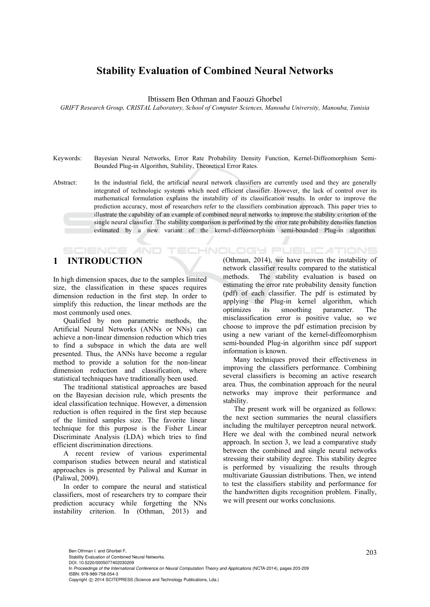# **Stability Evaluation of Combined Neural Networks**

Ibtissem Ben Othman and Faouzi Ghorbel

*GRIFT Research Group, CRISTAL Laboratory, School of Computer Sciences, Manouba University, Manouba, Tunisia* 

- Keywords: Bayesian Neural Networks, Error Rate Probability Density Function, Kernel-Diffeomorphism Semi-Bounded Plug-in Algorithm, Stability, Theoretical Error Rates.
- Abstract: In the industrial field, the artificial neural network classifiers are currently used and they are generally integrated of technologic systems which need efficient classifier. However, the lack of control over its mathematical formulation explains the instability of its classification results. In order to improve the prediction accuracy, most of researchers refer to the classifiers combination approach. This paper tries to illustrate the capability of an example of combined neural networks to improve the stability criterion of the single neural classifier. The stability comparison is performed by the error rate probability densities function estimated by a new variant of the kernel-diffeomorphism semi-bounded Plug-in algorithm.

# **1 INTRODUCTION**

**SCIENCE AND** 

In high dimension spaces, due to the samples limited size, the classification in these spaces requires dimension reduction in the first step. In order to simplify this reduction, the linear methods are the most commonly used ones.

Qualified by non parametric methods, the Artificial Neural Networks (ANNs or NNs) can achieve a non-linear dimension reduction which tries to find a subspace in which the data are well presented. Thus, the ANNs have become a regular method to provide a solution for the non-linear dimension reduction and classification, where statistical techniques have traditionally been used.

The traditional statistical approaches are based on the Bayesian decision rule, which presents the ideal classification technique. However, a dimension reduction is often required in the first step because of the limited samples size. The favorite linear technique for this purpose is the Fisher Linear Discriminate Analysis (LDA) which tries to find efficient discrimination directions.

A recent review of various experimental comparison studies between neural and statistical approaches is presented by Paliwal and Kumar in (Paliwal, 2009).

In order to compare the neural and statistical classifiers, most of researchers try to compare their prediction accuracy while forgetting the NNs instability criterion. In (Othman, 2013) and

**ECHNOLOGY PUBLICATIONS** (Othman, 2014), we have proven the instability of network classifier results compared to the statistical methods. The stability evaluation is based on estimating the error rate probability density function (pdf) of each classifier. The pdf is estimated by applying the Plug-in kernel algorithm, which optimizes its smoothing parameter. The misclassification error is positive value, so we choose to improve the pdf estimation precision by using a new variant of the kernel-diffeomorphism semi-bounded Plug-in algorithm since pdf support information is known.

Many techniques proved their effectiveness in improving the classifiers performance. Combining several classifiers is becoming an active research area. Thus, the combination approach for the neural networks may improve their performance and stability.

The present work will be organized as follows: the next section summaries the neural classifiers including the multilayer perceptron neural network. Here we deal with the combined neural network approach. In section 3, we lead a comparative study between the combined and single neural networks stressing their stability degree. This stability degree is performed by visualizing the results through multivariate Gaussian distributions. Then, we intend to test the classifiers stability and performance for the handwritten digits recognition problem. Finally, we will present our works conclusions.

DOI: 10.5220/0005077402030209

In *Proceedings of the International Conference on Neural Computation Theory and Applications* (NCTA-2014), pages 203-209 ISBN: 978-989-758-054-3

Copyright © 2014 SCITEPRESS (Science and Technology Publications, Lda.)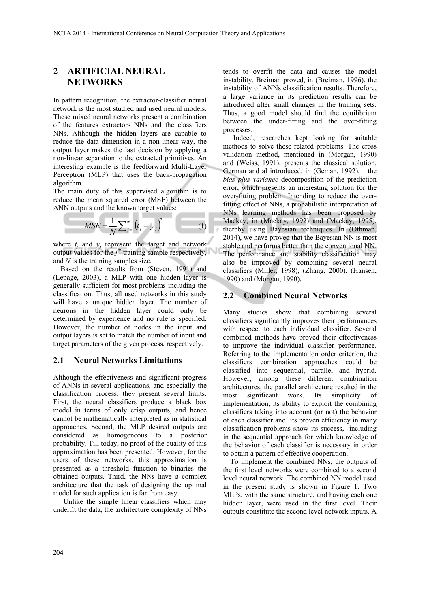# **2 ARTIFICIAL NEURAL NETWORKS**

In pattern recognition, the extractor-classifier neural network is the most studied and used neural models. These mixed neural networks present a combination of the features extractors NNs and the classifiers NNs. Although the hidden layers are capable to reduce the data dimension in a non-linear way, the output layer makes the last decision by applying a non-linear separation to the extracted primitives. An interesting example is the feedforward Multi-Layer Perceptron (MLP) that uses the back-propagation algorithm.

The main duty of this supervised algorithm is to reduce the mean squared error (MSE) between the ANN outputs and the known target values:

$$
MSE = \frac{1}{N} \sum_{j=1}^{N} (t_j - y_j)^2
$$
 (1)

where  $t_i$  and  $y_i$  represent the target and network output values for the  $j<sup>th</sup>$  training sample respectively, and *N* is the training samples size.

Based on the results from (Steven, 1991) and (Lepage, 2003), a MLP with one hidden layer is generally sufficient for most problems including the classification. Thus, all used networks in this study will have a unique hidden layer. The number of neurons in the hidden layer could only be determined by experience and no rule is specified. However, the number of nodes in the input and output layers is set to match the number of input and target parameters of the given process, respectively.

### **2.1 Neural Networks Limitations**

Although the effectiveness and significant progress of ANNs in several applications, and especially the classification process, they present several limits. First, the neural classifiers produce a black box model in terms of only crisp outputs, and hence cannot be mathematically interpreted as in statistical approaches. Second, the MLP desired outputs are considered as homogeneous to a posterior probability. Till today, no proof of the quality of this approximation has been presented. However, for the users of these networks, this approximation is presented as a threshold function to binaries the obtained outputs. Third, the NNs have a complex architecture that the task of designing the optimal model for such application is far from easy.

Unlike the simple linear classifiers which may underfit the data, the architecture complexity of NNs

tends to overfit the data and causes the model instability. Breiman proved, in (Breiman, 1996), the instability of ANNs classification results. Therefore, a large variance in its prediction results can be introduced after small changes in the training sets. Thus, a good model should find the equilibrium between the under-fitting and the over-fitting processes.

Indeed, researches kept looking for suitable methods to solve these related problems. The cross validation method, mentioned in (Morgan, 1990) and (Weiss, 1991), presents the classical solution. German and al introduced, in (Geman, 1992), the *bias plus variance* decomposition of the prediction error, which presents an interesting solution for the over-fitting problem. Intending to reduce the overfitting effect of NNs, a probabilistic interpretation of NNs learning methods has been proposed by Mackay, in (Mackay, 1992) and (Mackay, 1995), thereby using Bayesian techniques. In (Othman, 2014), we have proved that the Bayesian NN is most stable and performs better than the conventional NN. The performance and stability classification may also be improved by combining several neural classifiers (Miller, 1998), (Zhang, 2000), (Hansen, 1990) and (Morgan, 1990).

### **2.2 Combined Neural Networks**

Many studies show that combining several classifiers significantly improves their performances with respect to each individual classifier. Several combined methods have proved their effectiveness to improve the individual classifier performance. Referring to the implementation order criterion, the classifiers combination approaches could be classified into sequential, parallel and hybrid. However, among these different combination architectures, the parallel architecture resulted in the most significant work. Its simplicity of implementation, its ability to exploit the combining classifiers taking into account (or not) the behavior of each classifier and its proven efficiency in many classification problems show its success, including in the sequential approach for which knowledge of the behavior of each classifier is necessary in order to obtain a pattern of effective cooperation.

To implement the combined NNs, the outputs of the first level networks were combined to a second level neural network. The combined NN model used in the present study is shown in Figure 1. Two MLPs, with the same structure, and having each one hidden layer, were used in the first level. Their outputs constitute the second level network inputs. A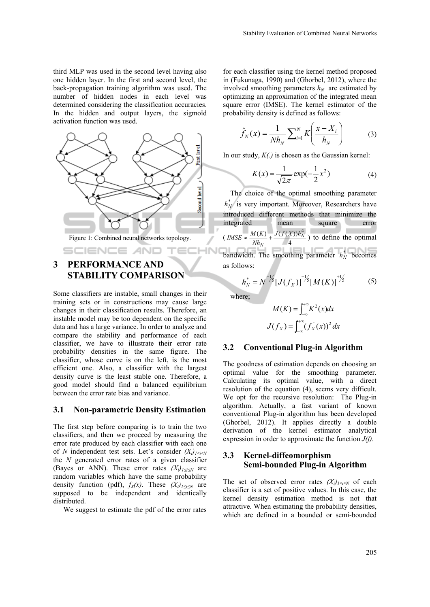third MLP was used in the second level having also one hidden layer. In the first and second level, the back-propagation training algorithm was used. The number of hidden nodes in each level was determined considering the classification accuracies. In the hidden and output layers, the sigmoïd activation function was used.



Figure 1: Combined neural networks topology.

# **3 PERFORMANCE AND STABILITY COMPARISON**

**SCIENCE AND** 

Some classifiers are instable, small changes in their training sets or in constructions may cause large changes in their classification results. Therefore, an instable model may be too dependent on the specific data and has a large variance. In order to analyze and compare the stability and performance of each classifier, we have to illustrate their error rate probability densities in the same figure. The classifier, whose curve is on the left, is the most efficient one. Also, a classifier with the largest density curve is the least stable one. Therefore, a good model should find a balanced equilibrium between the error rate bias and variance.

#### **3.1 Non-parametric Density Estimation**

The first step before comparing is to train the two classifiers, and then we proceed by measuring the error rate produced by each classifier with each one of *N* independent test sets. Let's consider  $(X_i)_{1 \le i \le N}$ the *N* generated error rates of a given classifier (Bayes or ANN). These error rates  $(X_i)_{1\le i\le N}$  are random variables which have the same probability density function (pdf),  $f_X(x)$ . These  $(X_i)_{1\le i\le N}$  are supposed to be independent and identically distributed.

We suggest to estimate the pdf of the error rates

for each classifier using the kernel method proposed in (Fukunaga, 1990) and (Ghorbel, 2012), where the involved smoothing parameters  $h_N$  are estimated by optimizing an approximation of the integrated mean square error (IMSE). The kernel estimator of the probability density is defined as follows:

$$
\hat{f}_N(x) = \frac{1}{Nh_N} \sum_{i=1}^N K\left(\frac{x - X_i}{h_N}\right) \tag{3}
$$

In our study, *K(.)* is chosen as the Gaussian kernel:

$$
K(x) = \frac{1}{\sqrt{2\pi}} \exp(-\frac{1}{2}x^2)
$$
 (4)

The choice of the optimal smoothing parameter  $h_N^*$  is very important. Moreover, Researchers have introduced different methods that minimize the integrated mean square error  $\left( \frac{IMSE}{Nh_N} \approx \frac{M(K)}{Nh_N} + \frac{J(f(X))h_N^4}{4} \right)$  to define the optimal *N Nh* bandwidth. The smoothing parameter  $h_N^*$  becomes

as follows:

TECHN

$$
h_N^* = N^{-1/5} [J(f_X)]^{-1/5} [M(K)]^{1/5}
$$
 (5)

where;

$$
M(K) = \int_{-\infty}^{+\infty} K^2(x) dx
$$

$$
J(f_X) = \int_{-\infty}^{+\infty} (f_X^{\dagger}(x))^2 dx
$$

#### **3.2 Conventional Plug-in Algorithm**

The goodness of estimation depends on choosing an optimal value for the smoothing parameter. Calculating its optimal value, with a direct resolution of the equation (4), seems very difficult. We opt for the recursive resolution: The Plug-in algorithm. Actually, a fast variant of known conventional Plug-in algorithm has been developed (Ghorbel, 2012). It applies directly a double derivation of the kernel estimator analytical expression in order to approximate the function *J(f)*.

### **3.3 Kernel-diffeomorphism Semi-bounded Plug-in Algorithm**

The set of observed error rates  $(X_i)_{1 \le i \le N}$  of each classifier is a set of positive values. In this case, the kernel density estimation method is not that attractive. When estimating the probability densities, which are defined in a bounded or semi-bounded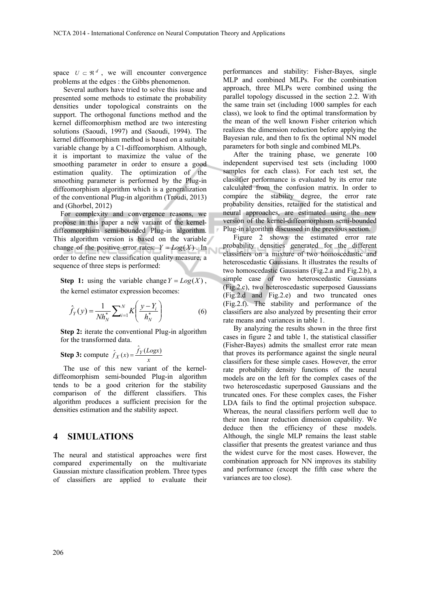space  $U \subset \Re^d$ , we will encounter convergence problems at the edges : the Gibbs phenomenon.

Several authors have tried to solve this issue and presented some methods to estimate the probability densities under topological constraints on the support. The orthogonal functions method and the kernel diffeomorphism method are two interesting solutions (Saoudi, 1997) and (Saoudi, 1994). The kernel diffeomorphism method is based on a suitable variable change by a C1-diffeomorphism. Although, it is important to maximize the value of the smoothing parameter in order to ensure a good estimation quality. The optimization of the smoothing parameter is performed by the Plug-in diffeomorphism algorithm which is a generalization of the conventional Plug-in algorithm (Troudi, 2013) and (Ghorbel, 2012)

For complexity and convergence reasons, we propose in this paper a new variant of the kerneldiffeomorphism semi-bounded Plug-in algorithm. This algorithm version is based on the variable change of the positive error rates:  $Y = Log(X)$ . In order to define new classification quality measure, a sequence of three steps is performed:

**Step 1:** using the variable change  $Y = Log(X)$ , the kernel estimator expression becomes:

$$
\hat{f}_Y(y) = \frac{1}{N h_N^*} \sum_{i=1}^N K \left( \frac{y - Y_i}{h_N^*} \right) \tag{6}
$$

**Step 2:** iterate the conventional Plug-in algorithm for the transformed data.

**Step 3:** compute  $\hat{f}_X(x) = \frac{\hat{f}_Y(Logx)}{x}$ 

The use of this new variant of the kerneldiffeomorphism semi-bounded Plug-in algorithm tends to be a good criterion for the stability comparison of the different classifiers. This algorithm produces a sufficient precision for the densities estimation and the stability aspect.

### **4 SIMULATIONS**

The neural and statistical approaches were first compared experimentally on the multivariate Gaussian mixture classification problem. Three types of classifiers are applied to evaluate their

performances and stability: Fisher-Bayes, single MLP and combined MLPs. For the combination approach, three MLPs were combined using the parallel topology discussed in the section 2.2. With the same train set (including 1000 samples for each class), we look to find the optimal transformation by the mean of the well known Fisher criterion which realizes the dimension reduction before applying the Bayesian rule, and then to fix the optimal NN model parameters for both single and combined MLPs.

After the training phase, we generate 100 independent supervised test sets (including 1000 samples for each class). For each test set, the classifier performance is evaluated by its error rate calculated from the confusion matrix. In order to compare the stability degree, the error rate probability densities, retained for the statistical and neural approaches, are estimated using the new version of the kernel-diffeomorphism semi-bounded Plug-in algorithm discussed in the previous section.

Figure 2 shows the estimated error rate probability densities generated for the different classifiers on a mixture of two homoscedastic and heteroscedastic Gaussians. It illustrates the results of two homoscedastic Gaussians (Fig.2.a and Fig.2.b), a simple case of two heteroscedastic Gaussians (Fig.2.c), two heteroscedastic superposed Gaussians (Fig.2.d and Fig.2.e) and two truncated ones (Fig.2.f). The stability and performance of the classifiers are also analyzed by presenting their error rate means and variances in table 1.

By analyzing the results shown in the three first cases in figure 2 and table 1, the statistical classifier (Fisher-Bayes) admits the smallest error rate mean that proves its performance against the single neural classifiers for these simple cases. However, the error rate probability density functions of the neural models are on the left for the complex cases of the two heteroscedastic superposed Gaussians and the truncated ones. For these complex cases, the Fisher LDA fails to find the optimal projection subspace. Whereas, the neural classifiers perform well due to their non linear reduction dimension capability. We deduce then the efficiency of these models. Although, the single MLP remains the least stable classifier that presents the greatest variance and thus the widest curve for the most cases. However, the combination approach for NN improves its stability and performance (except the fifth case where the variances are too close).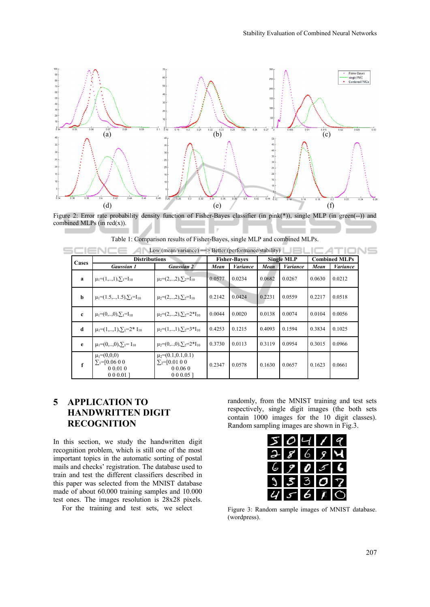

Figure 2: Error rate probability density function of Fisher-Bayes classifier (in pink(\*)), single MLP (in green(--)) and combined MLPs (in  $red(x)$ ).

| Low (mean/variance) $\equiv$ Better (performance/stability) |                                                                      |                                                                            |                     |                 |                   |                 |                      |                 |
|-------------------------------------------------------------|----------------------------------------------------------------------|----------------------------------------------------------------------------|---------------------|-----------------|-------------------|-----------------|----------------------|-----------------|
| Cases                                                       | <b>Distributions</b>                                                 |                                                                            | <b>Fisher-Bayes</b> |                 | <b>Single MLP</b> |                 | <b>Combined MLPs</b> |                 |
|                                                             | <b>Gaussian 1</b>                                                    | <b>Gaussian 2</b>                                                          | Mean                | <b>Variance</b> | Mean              | <b>Variance</b> | Mean                 | <b>Variance</b> |
| a                                                           | $\mu_1=(1,\ldots,1),\sum_1=I_{10}$                                   | $\mu_2=(2,\ldots,2), \sum_{2}=\Gamma_{10}$                                 | 0.0577              | 0.0234          | 0.0682            | 0.0267          | 0.0630               | 0.0212          |
| b                                                           | $\mu_1 = (1.5, , 1.5), \sum_{i=1}^{5} I_{10}$                        | $\mu_2=(2,\ldots,2), \sum_2=I_{10}$                                        | 0.2142              | 0.0424          | 0.2231            | 0.0559          | 0.2217               | 0.0518          |
| $\mathbf{c}$                                                | $\mu_1=(0,\ldots,0),\sum_1=I_{10}$                                   | $\mu_2=(2,\ldots,2),\sum_2=2^*I_{10}$                                      | 0.0044              | 0.0020          | 0.0138            | 0.0074          | 0.0104               | 0.0056          |
| d                                                           | $\mu_1=(1,\ldots,1),\sum_1=2^*I_{10}$                                | $\mu_2=(1,\ldots,1),\sum_{2}=3*I_{10}$                                     | 0.4253              | 0.1215          | 0.4093            | 0.1594          | 0.3834               | 0.1025          |
| e                                                           | $\mu_1=(0,\ldots,0), \sum_{i=1}$                                     | $\mu_2=(0,\ldots,0),\sum_{2}=2^*I_{10}$                                    | 0.3730              | 0.0113          | 0.3119            | 0.0954          | 0.3015               | 0.0966          |
| f                                                           | $\mu_1 = (0,0,0)$<br>$\Sigma_1 = [0.06 0 0]$<br>00.010<br>$000.01$ ] | $\mu_2=(0.1,0.1,0.1)$<br>$\Sigma_2 = [0.01 0 0]$<br>0,0.06,0<br>$000.05$ ] | 0.2347              | 0.0578          | 0.1630            | 0.0657          | 0.1623               | 0.0661          |

|  |  | Table 1: Comparison results of Fisher-Bayes, single MLP and combined MLPs. |
|--|--|----------------------------------------------------------------------------|
|  |  |                                                                            |

# **5 APPLICATION TO HANDWRITTEN DIGIT RECOGNITION**

In this section, we study the handwritten digit recognition problem, which is still one of the most important topics in the automatic sorting of postal mails and checks' registration. The database used to train and test the different classifiers described in this paper was selected from the MNIST database made of about 60.000 training samples and 10.000 test ones. The images resolution is 28x28 pixels.

For the training and test sets, we select

randomly, from the MNIST training and test sets respectively, single digit images (the both sets contain 1000 images for the 10 digit classes). Random sampling images are shown in Fig.3.

 $\sim$ 



Figure 3: Random sample images of MNIST database. (wordpress).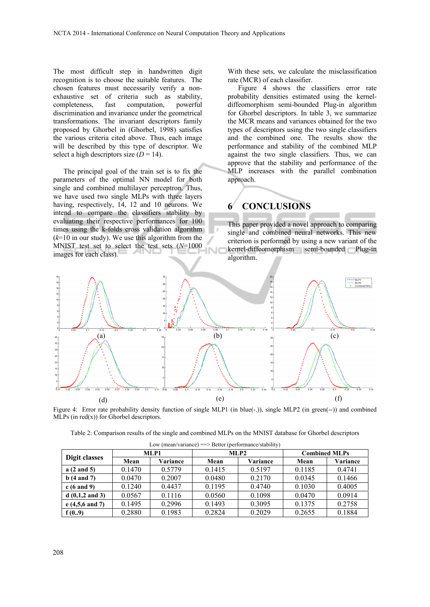The most difficult step in handwritten digit recognition is to choose the suitable features. The chosen features must necessarily verify a nonexhaustive set of criteria such as stability, completeness, fast computation, powerful discrimination and invariance under the geometrical transformations. The invariant descriptors family proposed by Ghorbel in (Ghorbel, 1998) satisfies the various criteria cited above. Thus, each image will be described by this type of descriptor. We select a high descriptors size  $(D = 14)$ .

The principal goal of the train set is to fix the parameters of the optimal NN model for both single and combined multilayer perceptron. Thus, we have used two single MLPs with three layers having, respectively, 14, 12 and 10 neurons. We intend to compare the classifiers stability by evaluating their respective performances for 100 times using the k-folds cross validation algorithm  $(k=10$  in our study). We use this algorithm from the MNIST test set to select the test sets (*N*=1000 images for each class).

With these sets, we calculate the misclassification rate (MCR) of each classifier.

Figure 4 shows the classifiers error rate probability densities estimated using the kerneldiffeomorphism semi-bounded Plug-in algorithm for Ghorbel descriptors. In table 3, we summarize the MCR means and variances obtained for the two types of descriptors using the two single classifiers and the combined one. The results show the performance and stability of the combined MLP against the two single classifiers. Thus, we can approve that the stability and performance of the MLP increases with the parallel combination approach.

# **6 CONCLUSIONS**

This paper provided a novel approach to comparing single and combined neural networks. This new criterion is performed by using a new variant of the kernel-diffeomorphism semi-bounded Plug-in algorithm.



Figure 4: Error rate probability density function of single MLP1 (in blue(-.)), single MLP2 (in green(--)) and combined MLPs (in  $red(x)$ ) for Ghorbel descriptors.

| Table 2: Comparison results of the single and combined MLPs on the MNIST database for Ghorbel descriptors |  |  |  |
|-----------------------------------------------------------------------------------------------------------|--|--|--|
|                                                                                                           |  |  |  |

|                           | MLP1   |          | MLP2   |          | <b>Combined MLPs</b> |          |  |  |
|---------------------------|--------|----------|--------|----------|----------------------|----------|--|--|
| Digit classes             | Mean   | Variance | Mean   | Variance | Mean                 | Variance |  |  |
| $a(2 \text{ and } 5)$     | 0.1470 | 0.5779   | 0.1415 | 0.5197   | 0.1185               | 0.4741   |  |  |
| $b(4 \text{ and } 7)$     | 0.0470 | 0.2007   | 0.0480 | 0.2170   | 0.0345               | 0.1466   |  |  |
| $c(6 \text{ and } 9)$     | 0.1240 | 0.4437   | 0.1195 | 0.4740   | 0.1030               | 0.4005   |  |  |
| $d(0,1,2 \text{ and } 3)$ | 0.0567 | 0.1116   | 0.0560 | 0.1098   | 0.0470               | 0.0914   |  |  |
| $e(4,5,6 \text{ and } 7)$ | 0.1495 | 0.2996   | 0.1493 | 0.3095   | 0.1375               | 0.2758   |  |  |
| f(0.9)                    | 0.2880 | 0.1983   | 0.2824 | 0.2029   | 0.2655               | 0.1884   |  |  |

Low (mean/variance) ==> Better (performance/stability)